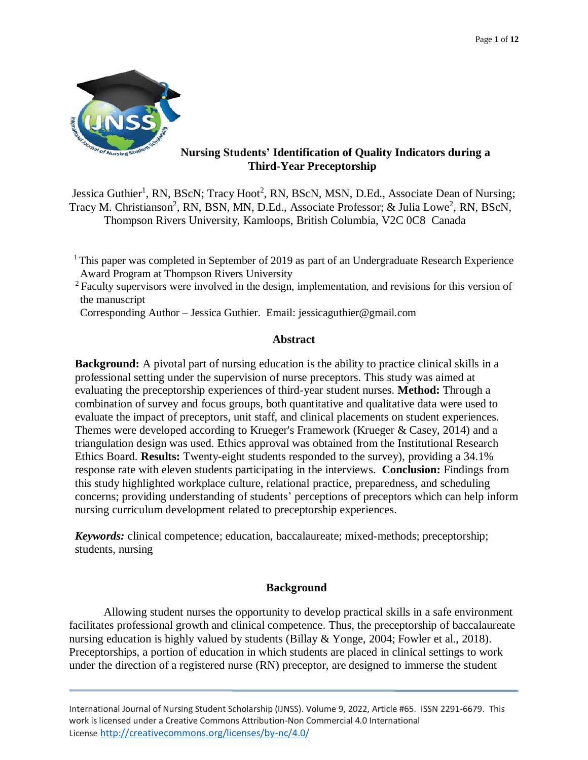

# **Nursing Students' Identification of Quality Indicators during a Third-Year Preceptorship**

Jessica Guthier<sup>1</sup>, RN, BScN; Tracy Hoot<sup>2</sup>, RN, BScN, MSN, D.Ed., Associate Dean of Nursing; Tracy M. Christianson<sup>2</sup>, RN, BSN, MN, D.Ed., Associate Professor; & Julia Lowe<sup>2</sup>, RN, BScN, Thompson Rivers University, Kamloops, British Columbia, V2C 0C8 Canada

<sup>1</sup> This paper was completed in September of 2019 as part of an Undergraduate Research Experience Award Program at Thompson Rivers University

 $2$  Faculty supervisors were involved in the design, implementation, and revisions for this version of the manuscript

Corresponding Author – Jessica Guthier. Email: jessicaguthier@gmail.com

## **Abstract**

**Background:** A pivotal part of nursing education is the ability to practice clinical skills in a professional setting under the supervision of nurse preceptors. This study was aimed at evaluating the preceptorship experiences of third-year student nurses. **Method:** Through a combination of survey and focus groups, both quantitative and qualitative data were used to evaluate the impact of preceptors, unit staff, and clinical placements on student experiences. Themes were developed according to Krueger's Framework (Krueger & Casey, 2014) and a triangulation design was used. Ethics approval was obtained from the Institutional Research Ethics Board. **Results:** Twenty-eight students responded to the survey), providing a 34.1% response rate with eleven students participating in the interviews. **Conclusion:** Findings from this study highlighted workplace culture, relational practice, preparedness, and scheduling concerns; providing understanding of students' perceptions of preceptors which can help inform nursing curriculum development related to preceptorship experiences.

*Keywords:* clinical competence; education, baccalaureate; mixed-methods; preceptorship; students, nursing

# **Background**

Allowing student nurses the opportunity to develop practical skills in a safe environment facilitates professional growth and clinical competence. Thus, the preceptorship of baccalaureate nursing education is highly valued by students (Billay & Yonge, 2004; Fowler et al., 2018). Preceptorships, a portion of education in which students are placed in clinical settings to work under the direction of a registered nurse (RN) preceptor, are designed to immerse the student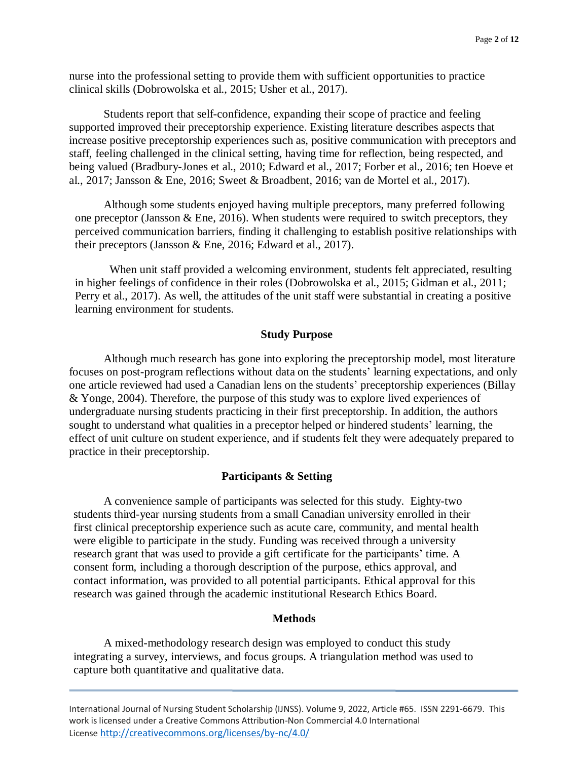nurse into the professional setting to provide them with sufficient opportunities to practice clinical skills (Dobrowolska et al., 2015; Usher et al., 2017).

Students report that self-confidence, expanding their scope of practice and feeling supported improved their preceptorship experience. Existing literature describes aspects that increase positive preceptorship experiences such as, positive communication with preceptors and staff, feeling challenged in the clinical setting, having time for reflection, being respected, and being valued (Bradbury-Jones et al., 2010; Edward et al., 2017; Forber et al., 2016; ten Hoeve et al., 2017; Jansson & Ene, 2016; Sweet & Broadbent, 2016; van de Mortel et al., 2017).

Although some students enjoyed having multiple preceptors, many preferred following one preceptor (Jansson  $\&$  Ene, 2016). When students were required to switch preceptors, they perceived communication barriers, finding it challenging to establish positive relationships with their preceptors (Jansson & Ene, 2016; Edward et al., 2017).

When unit staff provided a welcoming environment, students felt appreciated, resulting in higher feelings of confidence in their roles (Dobrowolska et al., 2015; Gidman et al., 2011; Perry et al., 2017). As well, the attitudes of the unit staff were substantial in creating a positive learning environment for students.

### **Study Purpose**

Although much research has gone into exploring the preceptorship model, most literature focuses on post-program reflections without data on the students' learning expectations, and only one article reviewed had used a Canadian lens on the students' preceptorship experiences (Billay & Yonge, 2004). Therefore, the purpose of this study was to explore lived experiences of undergraduate nursing students practicing in their first preceptorship. In addition, the authors sought to understand what qualities in a preceptor helped or hindered students' learning, the effect of unit culture on student experience, and if students felt they were adequately prepared to practice in their preceptorship.

#### **Participants & Setting**

A convenience sample of participants was selected for this study. Eighty-two students third-year nursing students from a small Canadian university enrolled in their first clinical preceptorship experience such as acute care, community, and mental health were eligible to participate in the study. Funding was received through a university research grant that was used to provide a gift certificate for the participants' time. A consent form, including a thorough description of the purpose, ethics approval, and contact information, was provided to all potential participants. Ethical approval for this research was gained through the academic institutional Research Ethics Board.

### **Methods**

A mixed-methodology research design was employed to conduct this study integrating a survey, interviews, and focus groups. A triangulation method was used to capture both quantitative and qualitative data.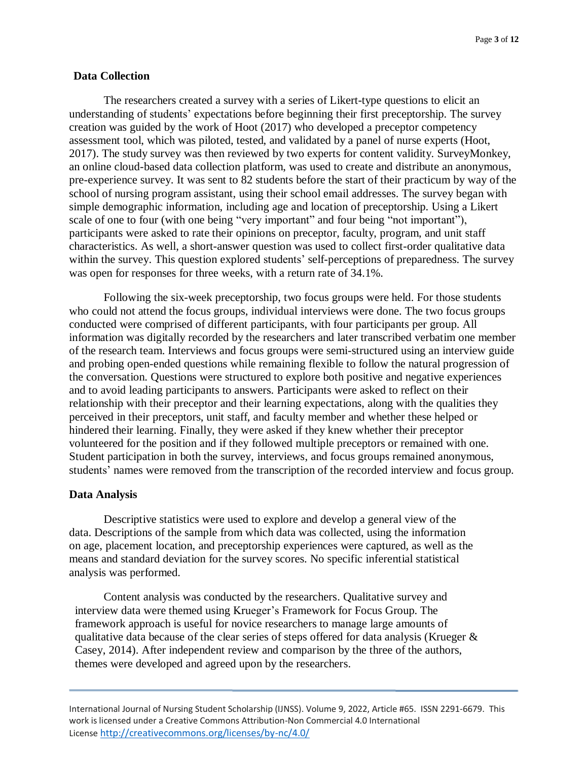### **Data Collection**

The researchers created a survey with a series of Likert-type questions to elicit an understanding of students' expectations before beginning their first preceptorship. The survey creation was guided by the work of Hoot (2017) who developed a preceptor competency assessment tool, which was piloted, tested, and validated by a panel of nurse experts (Hoot, 2017). The study survey was then reviewed by two experts for content validity. SurveyMonkey, an online cloud-based data collection platform, was used to create and distribute an anonymous, pre-experience survey. It was sent to 82 students before the start of their practicum by way of the school of nursing program assistant, using their school email addresses. The survey began with simple demographic information, including age and location of preceptorship. Using a Likert scale of one to four (with one being "very important" and four being "not important"), participants were asked to rate their opinions on preceptor, faculty, program, and unit staff characteristics. As well, a short-answer question was used to collect first-order qualitative data within the survey. This question explored students' self-perceptions of preparedness. The survey was open for responses for three weeks, with a return rate of 34.1%.

Following the six-week preceptorship, two focus groups were held. For those students who could not attend the focus groups, individual interviews were done. The two focus groups conducted were comprised of different participants, with four participants per group. All information was digitally recorded by the researchers and later transcribed verbatim one member of the research team. Interviews and focus groups were semi-structured using an interview guide and probing open-ended questions while remaining flexible to follow the natural progression of the conversation. Questions were structured to explore both positive and negative experiences and to avoid leading participants to answers. Participants were asked to reflect on their relationship with their preceptor and their learning expectations, along with the qualities they perceived in their preceptors, unit staff, and faculty member and whether these helped or hindered their learning. Finally, they were asked if they knew whether their preceptor volunteered for the position and if they followed multiple preceptors or remained with one. Student participation in both the survey, interviews, and focus groups remained anonymous, students' names were removed from the transcription of the recorded interview and focus group.

#### **Data Analysis**

Descriptive statistics were used to explore and develop a general view of the data. Descriptions of the sample from which data was collected, using the information on age, placement location, and preceptorship experiences were captured, as well as the means and standard deviation for the survey scores. No specific inferential statistical analysis was performed.

Content analysis was conducted by the researchers. Qualitative survey and interview data were themed using Krueger's Framework for Focus Group. The framework approach is useful for novice researchers to manage large amounts of qualitative data because of the clear series of steps offered for data analysis (Krueger  $\&$ Casey, 2014). After independent review and comparison by the three of the authors, themes were developed and agreed upon by the researchers.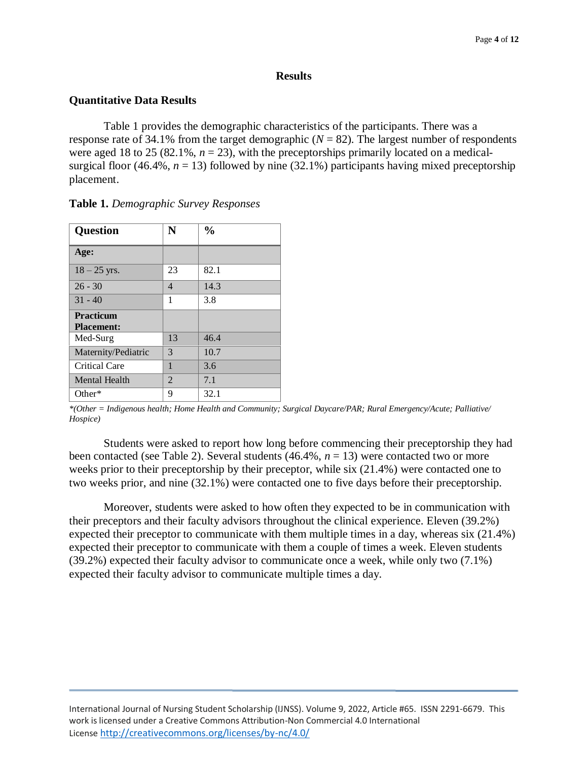#### **Results**

## **Quantitative Data Results**

Table 1 provides the demographic characteristics of the participants. There was a response rate of 34.1% from the target demographic  $(N = 82)$ . The largest number of respondents were aged 18 to 25 (82.1%,  $n = 23$ ), with the preceptorships primarily located on a medicalsurgical floor (46.4%,  $n = 13$ ) followed by nine (32.1%) participants having mixed preceptorship placement.

| <b>Question</b>      | N              | $\frac{0}{0}$ |
|----------------------|----------------|---------------|
| Age:                 |                |               |
| $18 - 25$ yrs.       | 23             | 82.1          |
| $26 - 30$            | $\overline{4}$ | 14.3          |
| $31 - 40$            | 1              | 3.8           |
| <b>Practicum</b>     |                |               |
| <b>Placement:</b>    |                |               |
| Med-Surg             | 13             | 46.4          |
| Maternity/Pediatric  | 3              | 10.7          |
| <b>Critical Care</b> | 1              | 3.6           |
| Mental Health        | 2              | 7.1           |
| Other $*$            | 9              | 32.1          |

**Table 1.** *Demographic Survey Responses*

*\*(Other = Indigenous health; Home Health and Community; Surgical Daycare/PAR; Rural Emergency/Acute; Palliative/ Hospice)*

Students were asked to report how long before commencing their preceptorship they had been contacted (see Table 2). Several students  $(46.4\%, n = 13)$  were contacted two or more weeks prior to their preceptorship by their preceptor, while six (21.4%) were contacted one to two weeks prior, and nine (32.1%) were contacted one to five days before their preceptorship.

Moreover, students were asked to how often they expected to be in communication with their preceptors and their faculty advisors throughout the clinical experience. Eleven (39.2%) expected their preceptor to communicate with them multiple times in a day, whereas six (21.4%) expected their preceptor to communicate with them a couple of times a week. Eleven students (39.2%) expected their faculty advisor to communicate once a week, while only two (7.1%) expected their faculty advisor to communicate multiple times a day.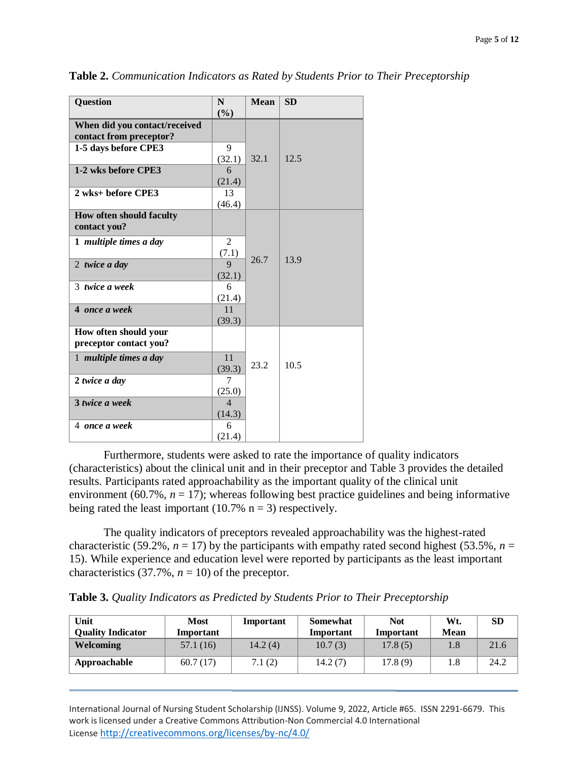| <b>Question</b>               | N              | <b>Mean</b> | <b>SD</b> |
|-------------------------------|----------------|-------------|-----------|
|                               | (%)            |             |           |
| When did you contact/received |                |             |           |
| contact from preceptor?       |                |             |           |
| 1-5 days before CPE3          | 9              |             |           |
|                               | (32.1)         | 32.1        | 12.5      |
| 1-2 wks before CPE3           | 6              |             |           |
|                               | (21.4)         |             |           |
| 2 wks+ before CPE3            | 13             |             |           |
|                               | (46.4)         |             |           |
| How often should faculty      |                |             |           |
| contact you?                  |                |             |           |
| 1 multiple times a day        | 2              |             |           |
|                               | (7.1)          |             |           |
| 2 twice a day                 | 9              | 26.7        | 13.9      |
|                               | (32.1)         |             |           |
| 3 twice a week                | 6              |             |           |
|                               | (21.4)         |             |           |
| 4 once a week                 | 11             |             |           |
|                               | (39.3)         |             |           |
| How often should your         |                |             |           |
| preceptor contact you?        |                |             |           |
| 1 multiple times a day        | 11             |             |           |
|                               | (39.3)         | 23.2        | 10.5      |
| 2 twice a day                 | 7              |             |           |
|                               | (25.0)         |             |           |
| 3 twice a week                | $\overline{4}$ |             |           |
|                               | (14.3)         |             |           |
| 4 once a week                 | 6              |             |           |
|                               | (21.4)         |             |           |

**Table 2.** *Communication Indicators as Rated by Students Prior to Their Preceptorship*

Furthermore, students were asked to rate the importance of quality indicators (characteristics) about the clinical unit and in their preceptor and Table 3 provides the detailed results. Participants rated approachability as the important quality of the clinical unit environment (60.7%,  $n = 17$ ); whereas following best practice guidelines and being informative being rated the least important (10.7%  $n = 3$ ) respectively.

The quality indicators of preceptors revealed approachability was the highest-rated characteristic (59.2%,  $n = 17$ ) by the participants with empathy rated second highest (53.5%,  $n =$ 15). While experience and education level were reported by participants as the least important characteristics  $(37.7\%, n = 10)$  of the preceptor.

**Table 3.** *Quality Indicators as Predicted by Students Prior to Their Preceptorship*

| Unit<br><b>Quality Indicator</b> | <b>Most</b><br>Important | Important | <b>Somewhat</b><br>Important | <b>Not</b><br>Important | Wt.<br><b>Mean</b> | SD   |
|----------------------------------|--------------------------|-----------|------------------------------|-------------------------|--------------------|------|
| <b>Welcoming</b>                 | 57.1 (16)                | 14.2(4)   | 10.7(3)                      | 17.8(5)                 | 1.8                | 21.6 |
| Approachable                     | 60.7(17)                 | 7.1(2)    | 14.2(7)                      | 17.8(9)                 | 1.8                | 24.2 |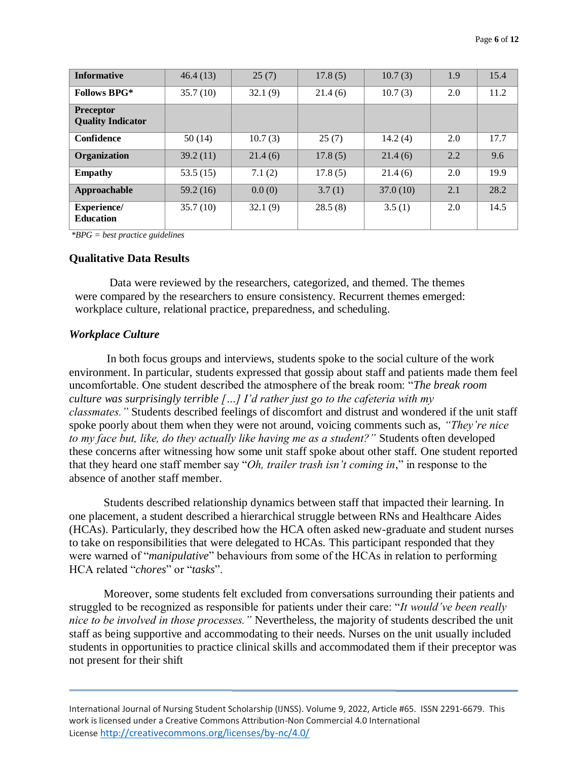| <b>Informative</b>                           | 46.4(13) | 25(7)   | 17.8(5) | 10.7(3)  | 1.9 | 15.4 |
|----------------------------------------------|----------|---------|---------|----------|-----|------|
| <b>Follows BPG*</b>                          | 35.7(10) | 32.1(9) | 21.4(6) | 10.7(3)  | 2.0 | 11.2 |
| <b>Preceptor</b><br><b>Quality Indicator</b> |          |         |         |          |     |      |
| <b>Confidence</b>                            | 50(14)   | 10.7(3) | 25(7)   | 14.2(4)  | 2.0 | 17.7 |
| Organization                                 | 39.2(11) | 21.4(6) | 17.8(5) | 21.4(6)  | 2.2 | 9.6  |
| <b>Empathy</b>                               | 53.5(15) | 7.1(2)  | 17.8(5) | 21.4(6)  | 2.0 | 19.9 |
| Approachable                                 | 59.2(16) | 0.0(0)  | 3.7(1)  | 37.0(10) | 2.1 | 28.2 |
| <b>Experience/</b><br><b>Education</b>       | 35.7(10) | 32.1(9) | 28.5(8) | 3.5(1)   | 2.0 | 14.5 |

*\*BPG = best practice guidelines*

### **Qualitative Data Results**

Data were reviewed by the researchers, categorized, and themed. The themes were compared by the researchers to ensure consistency. Recurrent themes emerged: workplace culture, relational practice, preparedness, and scheduling.

#### *Workplace Culture*

In both focus groups and interviews, students spoke to the social culture of the work environment. In particular, students expressed that gossip about staff and patients made them feel uncomfortable. One student described the atmosphere of the break room: "*The break room culture was surprisingly terrible […] I'd rather just go to the cafeteria with my classmates."* Students described feelings of discomfort and distrust and wondered if the unit staff spoke poorly about them when they were not around, voicing comments such as, *"They're nice to my face but, like, do they actually like having me as a student?"* Students often developed these concerns after witnessing how some unit staff spoke about other staff. One student reported that they heard one staff member say "*Oh, trailer trash isn't coming in*," in response to the absence of another staff member.

Students described relationship dynamics between staff that impacted their learning. In one placement, a student described a hierarchical struggle between RNs and Healthcare Aides (HCAs). Particularly, they described how the HCA often asked new-graduate and student nurses to take on responsibilities that were delegated to HCAs. This participant responded that they were warned of "*manipulative*" behaviours from some of the HCAs in relation to performing HCA related "*chores*" or "*tasks*".

Moreover, some students felt excluded from conversations surrounding their patients and struggled to be recognized as responsible for patients under their care: "*It would've been really nice to be involved in those processes."* Nevertheless, the majority of students described the unit staff as being supportive and accommodating to their needs. Nurses on the unit usually included students in opportunities to practice clinical skills and accommodated them if their preceptor was not present for their shift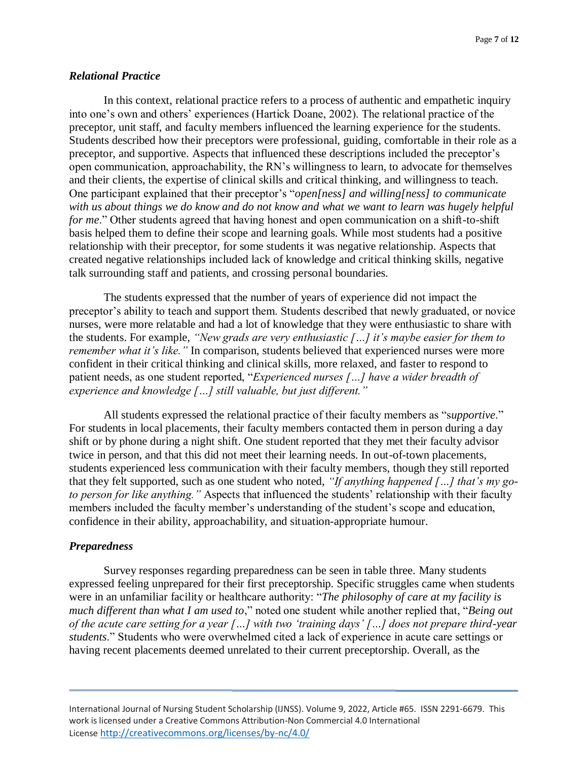### *Relational Practice*

In this context, relational practice refers to a process of authentic and empathetic inquiry into one's own and others' experiences (Hartick Doane, 2002). The relational practice of the preceptor, unit staff, and faculty members influenced the learning experience for the students. Students described how their preceptors were professional, guiding, comfortable in their role as a preceptor, and supportive. Aspects that influenced these descriptions included the preceptor's open communication, approachability, the RN's willingness to learn, to advocate for themselves and their clients, the expertise of clinical skills and critical thinking, and willingness to teach. One participant explained that their preceptor's "*open[ness] and willing[ness] to communicate with us about things we do know and do not know and what we want to learn was hugely helpful for me.*" Other students agreed that having honest and open communication on a shift-to-shift basis helped them to define their scope and learning goals. While most students had a positive relationship with their preceptor, for some students it was negative relationship. Aspects that created negative relationships included lack of knowledge and critical thinking skills, negative talk surrounding staff and patients, and crossing personal boundaries.

The students expressed that the number of years of experience did not impact the preceptor's ability to teach and support them. Students described that newly graduated, or novice nurses, were more relatable and had a lot of knowledge that they were enthusiastic to share with the students. For example, *"New grads are very enthusiastic […] it's maybe easier for them to remember what it's like.*" In comparison, students believed that experienced nurses were more confident in their critical thinking and clinical skills, more relaxed, and faster to respond to patient needs, as one student reported, "*Experienced nurses […] have a wider breadth of experience and knowledge […] still valuable, but just different."*

All students expressed the relational practice of their faculty members as "s*upportive*." For students in local placements, their faculty members contacted them in person during a day shift or by phone during a night shift. One student reported that they met their faculty advisor twice in person, and that this did not meet their learning needs. In out-of-town placements, students experienced less communication with their faculty members, though they still reported that they felt supported, such as one student who noted, *"If anything happened […] that's my goto person for like anything."* Aspects that influenced the students' relationship with their faculty members included the faculty member's understanding of the student's scope and education, confidence in their ability, approachability, and situation-appropriate humour.

### *Preparedness*

Survey responses regarding preparedness can be seen in table three. Many students expressed feeling unprepared for their first preceptorship. Specific struggles came when students were in an unfamiliar facility or healthcare authority: "*The philosophy of care at my facility is much different than what I am used to*," noted one student while another replied that, "*Being out of the acute care setting for a year […] with two 'training days' […] does not prepare third-year students*." Students who were overwhelmed cited a lack of experience in acute care settings or having recent placements deemed unrelated to their current preceptorship. Overall, as the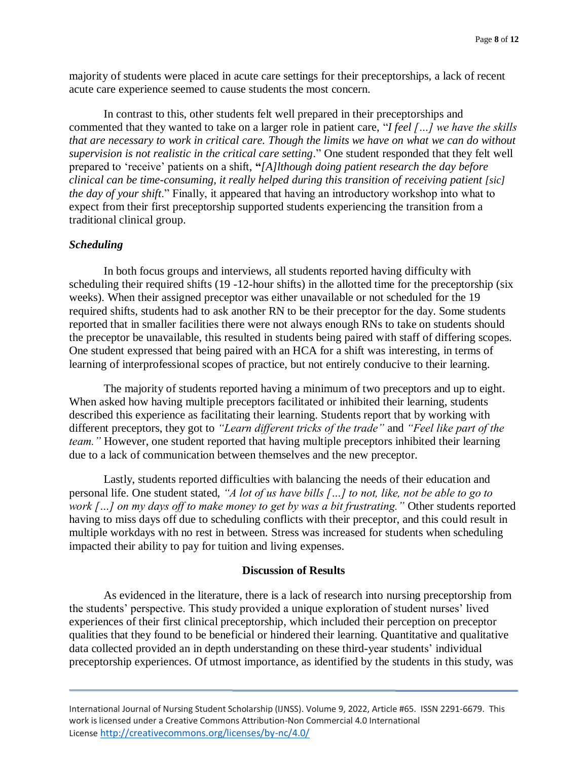majority of students were placed in acute care settings for their preceptorships, a lack of recent acute care experience seemed to cause students the most concern.

In contrast to this, other students felt well prepared in their preceptorships and commented that they wanted to take on a larger role in patient care, "*I feel […] we have the skills that are necessary to work in critical care. Though the limits we have on what we can do without supervision is not realistic in the critical care setting*." One student responded that they felt well prepared to 'receive' patients on a shift, **"***[A]lthough doing patient research the day before clinical can be time-consuming, it really helped during this transition of receiving patient [sic] the day of your shift*." Finally, it appeared that having an introductory workshop into what to expect from their first preceptorship supported students experiencing the transition from a traditional clinical group.

### *Scheduling*

In both focus groups and interviews, all students reported having difficulty with scheduling their required shifts (19 -12-hour shifts) in the allotted time for the preceptorship (six weeks). When their assigned preceptor was either unavailable or not scheduled for the 19 required shifts, students had to ask another RN to be their preceptor for the day. Some students reported that in smaller facilities there were not always enough RNs to take on students should the preceptor be unavailable, this resulted in students being paired with staff of differing scopes. One student expressed that being paired with an HCA for a shift was interesting, in terms of learning of interprofessional scopes of practice, but not entirely conducive to their learning.

The majority of students reported having a minimum of two preceptors and up to eight. When asked how having multiple preceptors facilitated or inhibited their learning, students described this experience as facilitating their learning. Students report that by working with different preceptors, they got to *"Learn different tricks of the trade"* and *"Feel like part of the team."* However, one student reported that having multiple preceptors inhibited their learning due to a lack of communication between themselves and the new preceptor.

Lastly, students reported difficulties with balancing the needs of their education and personal life. One student stated, *"A lot of us have bills […] to not, like, not be able to go to work […] on my days off to make money to get by was a bit frustrating."* Other students reported having to miss days off due to scheduling conflicts with their preceptor, and this could result in multiple workdays with no rest in between. Stress was increased for students when scheduling impacted their ability to pay for tuition and living expenses.

#### **Discussion of Results**

As evidenced in the literature, there is a lack of research into nursing preceptorship from the students' perspective. This study provided a unique exploration of student nurses' lived experiences of their first clinical preceptorship, which included their perception on preceptor qualities that they found to be beneficial or hindered their learning. Quantitative and qualitative data collected provided an in depth understanding on these third-year students' individual preceptorship experiences. Of utmost importance, as identified by the students in this study, was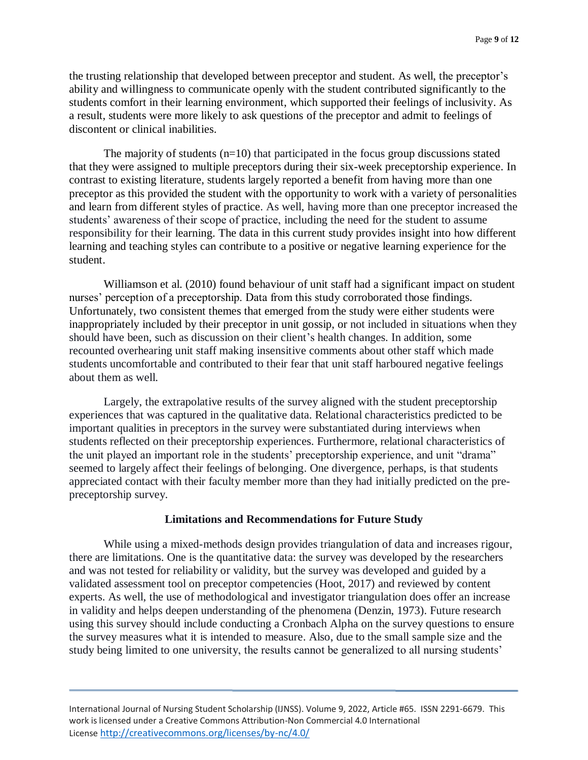the trusting relationship that developed between preceptor and student. As well, the preceptor's ability and willingness to communicate openly with the student contributed significantly to the students comfort in their learning environment, which supported their feelings of inclusivity. As a result, students were more likely to ask questions of the preceptor and admit to feelings of discontent or clinical inabilities.

The majority of students  $(n=10)$  that participated in the focus group discussions stated that they were assigned to multiple preceptors during their six-week preceptorship experience. In contrast to existing literature, students largely reported a benefit from having more than one preceptor as this provided the student with the opportunity to work with a variety of personalities and learn from different styles of practice. As well, having more than one preceptor increased the students' awareness of their scope of practice, including the need for the student to assume responsibility for their learning. The data in this current study provides insight into how different learning and teaching styles can contribute to a positive or negative learning experience for the student.

Williamson et al. (2010) found behaviour of unit staff had a significant impact on student nurses' perception of a preceptorship. Data from this study corroborated those findings. Unfortunately, two consistent themes that emerged from the study were either students were inappropriately included by their preceptor in unit gossip, or not included in situations when they should have been, such as discussion on their client's health changes. In addition, some recounted overhearing unit staff making insensitive comments about other staff which made students uncomfortable and contributed to their fear that unit staff harboured negative feelings about them as well*.*

Largely, the extrapolative results of the survey aligned with the student preceptorship experiences that was captured in the qualitative data. Relational characteristics predicted to be important qualities in preceptors in the survey were substantiated during interviews when students reflected on their preceptorship experiences. Furthermore, relational characteristics of the unit played an important role in the students' preceptorship experience, and unit "drama" seemed to largely affect their feelings of belonging. One divergence, perhaps, is that students appreciated contact with their faculty member more than they had initially predicted on the prepreceptorship survey.

### **Limitations and Recommendations for Future Study**

While using a mixed-methods design provides triangulation of data and increases rigour, there are limitations. One is the quantitative data: the survey was developed by the researchers and was not tested for reliability or validity, but the survey was developed and guided by a validated assessment tool on preceptor competencies (Hoot, 2017) and reviewed by content experts. As well, the use of methodological and investigator triangulation does offer an increase in validity and helps deepen understanding of the phenomena (Denzin, 1973). Future research using this survey should include conducting a Cronbach Alpha on the survey questions to ensure the survey measures what it is intended to measure. Also, due to the small sample size and the study being limited to one university, the results cannot be generalized to all nursing students'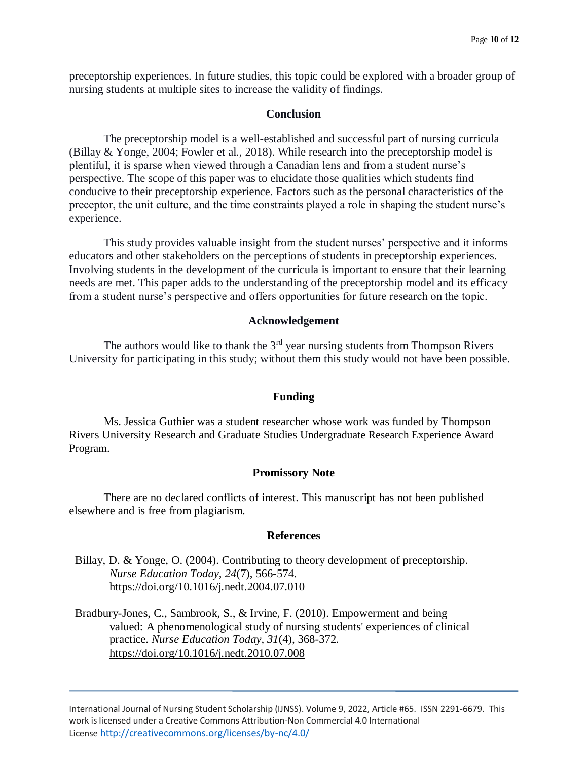preceptorship experiences. In future studies, this topic could be explored with a broader group of nursing students at multiple sites to increase the validity of findings.

#### **Conclusion**

The preceptorship model is a well-established and successful part of nursing curricula (Billay & Yonge, 2004; Fowler et al., 2018). While research into the preceptorship model is plentiful, it is sparse when viewed through a Canadian lens and from a student nurse's perspective. The scope of this paper was to elucidate those qualities which students find conducive to their preceptorship experience. Factors such as the personal characteristics of the preceptor, the unit culture, and the time constraints played a role in shaping the student nurse's experience.

This study provides valuable insight from the student nurses' perspective and it informs educators and other stakeholders on the perceptions of students in preceptorship experiences. Involving students in the development of the curricula is important to ensure that their learning needs are met. This paper adds to the understanding of the preceptorship model and its efficacy from a student nurse's perspective and offers opportunities for future research on the topic.

#### **Acknowledgement**

The authors would like to thank the  $3<sup>rd</sup>$  year nursing students from Thompson Rivers University for participating in this study; without them this study would not have been possible.

#### **Funding**

Ms. Jessica Guthier was a student researcher whose work was funded by Thompson Rivers University Research and Graduate Studies Undergraduate Research Experience Award Program.

#### **Promissory Note**

There are no declared conflicts of interest. This manuscript has not been published elsewhere and is free from plagiarism.

### **References**

- Billay, D. & Yonge, O. (2004). Contributing to theory development of preceptorship. *Nurse Education Today, 24*(7), 566-574. <https://doi.org/10.1016/j.nedt.2004.07.010>
- Bradbury-Jones, C., Sambrook, S., & Irvine, F. (2010). Empowerment and being valued: A phenomenological study of nursing students' experiences of clinical practice. *Nurse Education Today, 31*(4)*,* 368-372. <https://doi.org/10.1016/j.nedt.2010.07.008>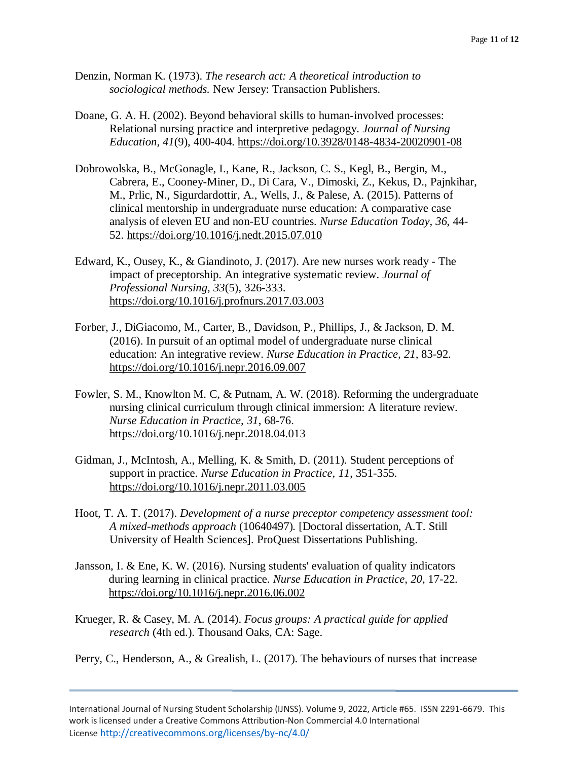- Denzin, Norman K. (1973). *The research act: A theoretical introduction to sociological methods.* New Jersey: Transaction Publishers.
- Doane, G. A. H. (2002). Beyond behavioral skills to human-involved processes: Relational nursing practice and interpretive pedagogy. *Journal of Nursing Education, 41*(9)*,* 400-404. <https://doi.org/10.3928/0148-4834-20020901-08>
- Dobrowolska, B., McGonagle, I., Kane, R., Jackson, C. S., Kegl, B., Bergin, M., Cabrera, E., Cooney-Miner, D., Di Cara, V., Dimoski, Z., Kekus, D., Pajnkihar, M., Prlic, N., Sigurdardottir, A., Wells, J., & Palese, A. (2015). Patterns of clinical mentorship in undergraduate nurse education: A comparative case analysis of eleven EU and non-EU countries. *Nurse Education Today, 36*, 44- 52. <https://doi.org/10.1016/j.nedt.2015.07.010>
- Edward, K., Ousey, K., & Giandinoto, J. (2017). Are new nurses work ready The impact of preceptorship. An integrative systematic review. *Journal of Professional Nursing, 33*(5), 326-333. <https://doi.org/10.1016/j.profnurs.2017.03.003>
- Forber, J., DiGiacomo, M., Carter, B., Davidson, P., Phillips, J., & Jackson, D. M. (2016). In pursuit of an optimal model of undergraduate nurse clinical education: An integrative review. *Nurse Education in Practice, 21,* 83-92. <https://doi.org/10.1016/j.nepr.2016.09.007>
- Fowler, S. M., Knowlton M. C, & Putnam, A. W. (2018). Reforming the undergraduate nursing clinical curriculum through clinical immersion: A literature review. *Nurse Education in Practice, 31*, 68-76. <https://doi.org/10.1016/j.nepr.2018.04.013>
- Gidman, J., McIntosh, A., Melling, K. & Smith, D. (2011). Student perceptions of support in practice. *Nurse Education in Practice, 11*, 351-355. <https://doi.org/10.1016/j.nepr.2011.03.005>
- Hoot, T. A. T. (2017). *Development of a nurse preceptor competency assessment tool: A mixed-methods approach* (10640497)*.* [Doctoral dissertation, A.T. Still University of Health Sciences]. ProQuest Dissertations Publishing.
- Jansson, I. & Ene, K. W. (2016). Nursing students' evaluation of quality indicators during learning in clinical practice. *Nurse Education in Practice, 20,* 17-22. <https://doi.org/10.1016/j.nepr.2016.06.002>
- Krueger, R. & Casey, M. A. (2014). *Focus groups: A practical guide for applied research* (4th ed.). Thousand Oaks, CA: Sage.

Perry, C., Henderson, A., & Grealish, L. (2017). The behaviours of nurses that increase